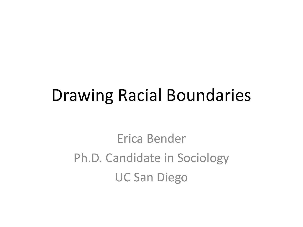## Drawing Racial Boundaries

Erica Bender Ph.D. Candidate in Sociology UC San Diego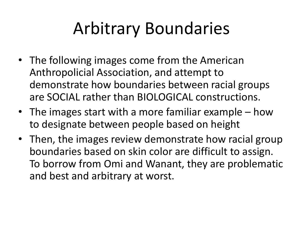## Arbitrary Boundaries

- The following images come from the American Anthropolicial Association, and attempt to demonstrate how boundaries between racial groups are SOCIAL rather than BIOLOGICAL constructions.
- The images start with a more familiar example how to designate between people based on height
- Then, the images review demonstrate how racial group boundaries based on skin color are difficult to assign. To borrow from Omi and Wanant, they are problematic and best and arbitrary at worst.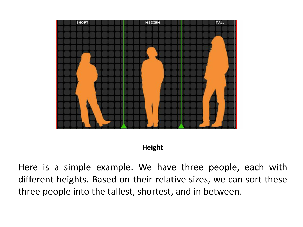

## **Height**

Here is a simple example. We have three people, each with different heights. Based on their relative sizes, we can sort these three people into the tallest, shortest, and in between.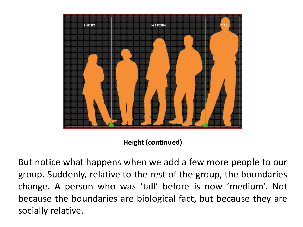

**Height (continued)**

But notice what happens when we add a few more people to our group. Suddenly, relative to the rest of the group, the boundaries change. A person who was 'tall' before is now 'medium'. Not because the boundaries are biological fact, but because they are socially relative.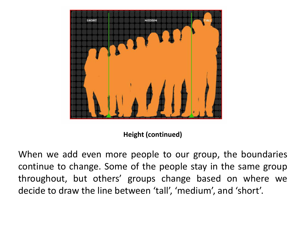

**Height (continued)**

When we add even more people to our group, the boundaries continue to change. Some of the people stay in the same group throughout, but others' groups change based on where we decide to draw the line between 'tall', 'medium', and 'short'.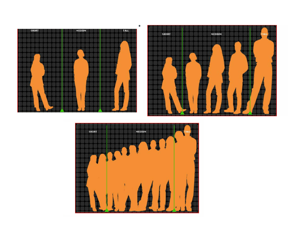



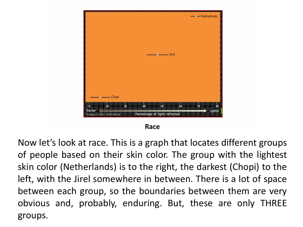

Now let's look at race. This is a graph that locates different groups of people based on their skin color. The group with the lightest skin color (Netherlands) is to the right, the darkest (Chopi) to the left, with the Jirel somewhere in between. There is a lot of space between each group, so the boundaries between them are very obvious and, probably, enduring. But, these are only THREE groups.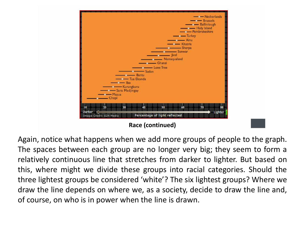

Again, notice what happens when we add more groups of people to the graph. The spaces between each group are no longer very big; they seem to form a relatively continuous line that stretches from darker to lighter. But based on this, where might we divide these groups into racial categories. Should the three lightest groups be considered 'white'? The six lightest groups? Where we draw the line depends on where we, as a society, decide to draw the line and, of course, on who is in power when the line is drawn.